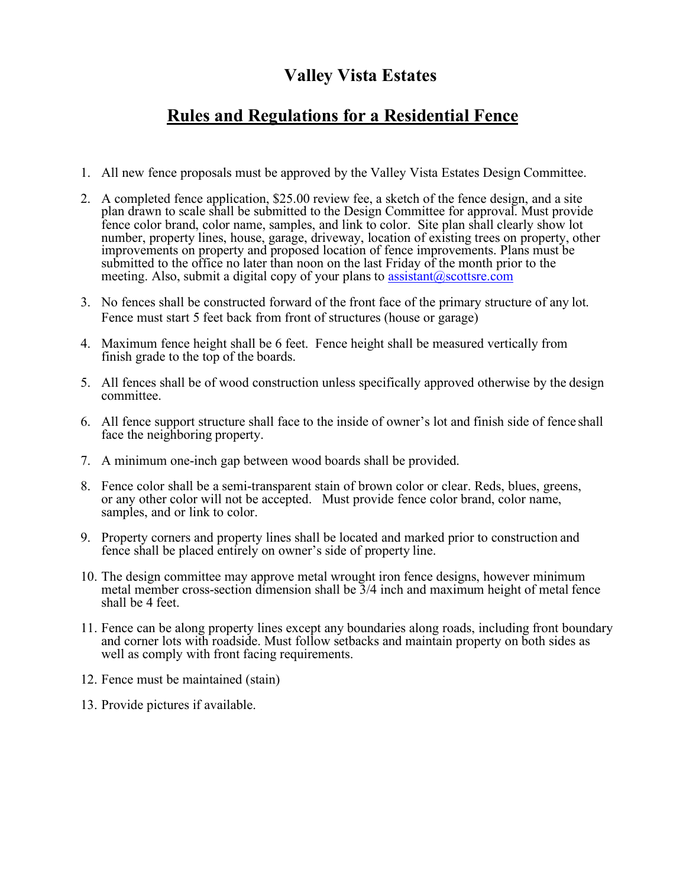## **Valley Vista Estates**

## **Rules and Regulations for a Residential Fence**

- 1. All new fence proposals must be approved by the Valley Vista Estates Design Committee.
- 2. A completed fence application, \$25.00 review fee, a sketch of the fence design, and a site plan drawn to scale shall be submitted to the Design Committee for approval. Must provide fence color brand, color name, samples, and link to color. Site plan shall clearly show lot number, property lines, house, garage, driveway, location of existing trees on property, other improvements on property and proposed location of fence improvements. Plans must be submitted to the office no later than noon on the last Friday of the month prior to the meeting. Also, submit a digital copy of your plans to  $\frac{assignment(0) scotts}{r}$ .com
- 3. No fences shall be constructed forward of the front face of the primary structure of any lot. Fence must start 5 feet back from front of structures (house or garage)
- 4. Maximum fence height shall be 6 feet. Fence height shall be measured vertically from finish grade to the top of the boards.
- 5. All fences shall be of wood construction unless specifically approved otherwise by the design committee.
- 6. All fence support structure shall face to the inside of owner's lot and finish side of fence shall face the neighboring property.
- 7. A minimum one-inch gap between wood boards shall be provided.
- 8. Fence color shall be a semi-transparent stain of brown color or clear. Reds, blues, greens, or any other color will not be accepted. Must provide fence color brand, color name, samples, and or link to color.
- 9. Property corners and property lines shall be located and marked prior to construction and fence shall be placed entirely on owner's side of property line.
- 10. The design committee may approve metal wrought iron fence designs, however minimum metal member cross-section dimension shall be 3/4 inch and maximum height of metal fence shall be 4 feet.
- 11. Fence can be along property lines except any boundaries along roads, including front boundary and corner lots with roadside. Must follow setbacks and maintain property on both sides as well as comply with front facing requirements.
- 12. Fence must be maintained (stain)
- 13. Provide pictures if available.